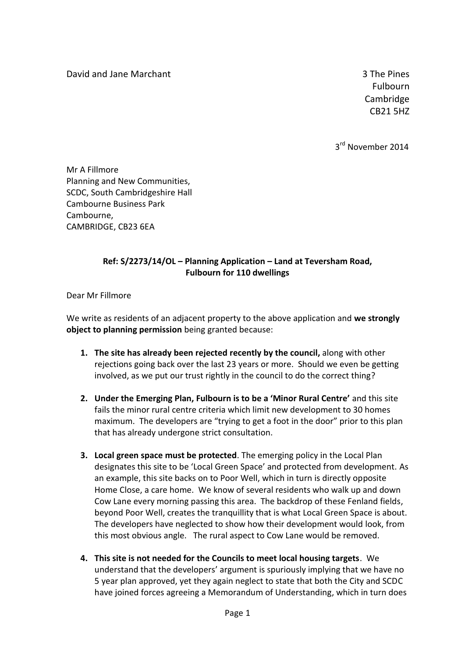David and Jane Marchant 3 The Pines

4357 Fulbourn **Cambridge** CB21 5HZ

3<sup>rd</sup> November 2014

Mr A Fillmore Planning and New Communities, SCDC, South Cambridgeshire Hall Cambourne Business Park Cambourne, CAMBRIDGE, CB23 6EA

## **Ref: S/2273/14/OL – Planning Application – Land at Teversham Road, Fulbourn for 110 dwellings**

Dear Mr Fillmore

We write as residents of an adjacent property to the above application and **we strongly object to planning permission** being granted because:

- **1. The site has already been rejected recently by the council,** along with other rejections going back over the last 23 years or more. Should we even be getting involved, as we put our trust rightly in the council to do the correct thing?
- **2. Under the Emerging Plan, Fulbourn is to be a 'Minor Rural Centre'** and this site fails the minor rural centre criteria which limit new development to 30 homes maximum. The developers are "trying to get a foot in the door" prior to this plan that has already undergone strict consultation.
- **3. Local green space must be protected**. The emerging policy in the Local Plan designates this site to be 'Local Green Space' and protected from development. As an example, this site backs on to Poor Well, which in turn is directly opposite Home Close, a care home. We know of several residents who walk up and down Cow Lane every morning passing this area. The backdrop of these Fenland fields, beyond Poor Well, creates the tranquillity that is what Local Green Space is about. The developers have neglected to show how their development would look, from this most obvious angle. The rural aspect to Cow Lane would be removed.
- **4. This site is not needed for the Councils to meet local housing targets**. We understand that the developers' argument is spuriously implying that we have no 5 year plan approved, yet they again neglect to state that both the City and SCDC have joined forces agreeing a Memorandum of Understanding, which in turn does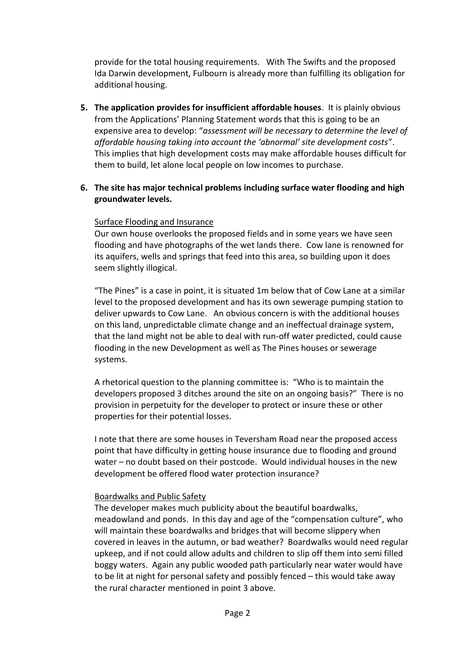provide for the total housing requirements. With The Swifts and the proposed Ida Darwin development, Fulbourn is already more than fulfilling its obligation for additional housing.

**5. The application provides for insufficient affordable houses**. It is plainly obvious from the Applications' Planning Statement words that this is going to be an expensive area to develop: "*assessment will be necessary to determine the level of affordable housing taking into account the 'abnormal' site development costs*". This implies that high development costs may make affordable houses difficult for them to build, let alone local people on low incomes to purchase.

## **6. The site has major technical problems including surface water flooding and high groundwater levels.**

## Surface Flooding and Insurance

Our own house overlooks the proposed fields and in some years we have seen flooding and have photographs of the wet lands there. Cow lane is renowned for its aquifers, wells and springs that feed into this area, so building upon it does seem slightly illogical.

"The Pines" is a case in point, it is situated 1m below that of Cow Lane at a similar level to the proposed development and has its own sewerage pumping station to deliver upwards to Cow Lane. An obvious concern is with the additional houses on this land, unpredictable climate change and an ineffectual drainage system, that the land might not be able to deal with run-off water predicted, could cause flooding in the new Development as well as The Pines houses or sewerage systems.

A rhetorical question to the planning committee is: "Who is to maintain the developers proposed 3 ditches around the site on an ongoing basis?" There is no provision in perpetuity for the developer to protect or insure these or other properties for their potential losses.

I note that there are some houses in Teversham Road near the proposed access point that have difficulty in getting house insurance due to flooding and ground water – no doubt based on their postcode. Would individual houses in the new development be offered flood water protection insurance?

## Boardwalks and Public Safety

The developer makes much publicity about the beautiful boardwalks, meadowland and ponds. In this day and age of the "compensation culture", who will maintain these boardwalks and bridges that will become slippery when covered in leaves in the autumn, or bad weather? Boardwalks would need regular upkeep, and if not could allow adults and children to slip off them into semi filled boggy waters. Again any public wooded path particularly near water would have to be lit at night for personal safety and possibly fenced – this would take away the rural character mentioned in point 3 above.